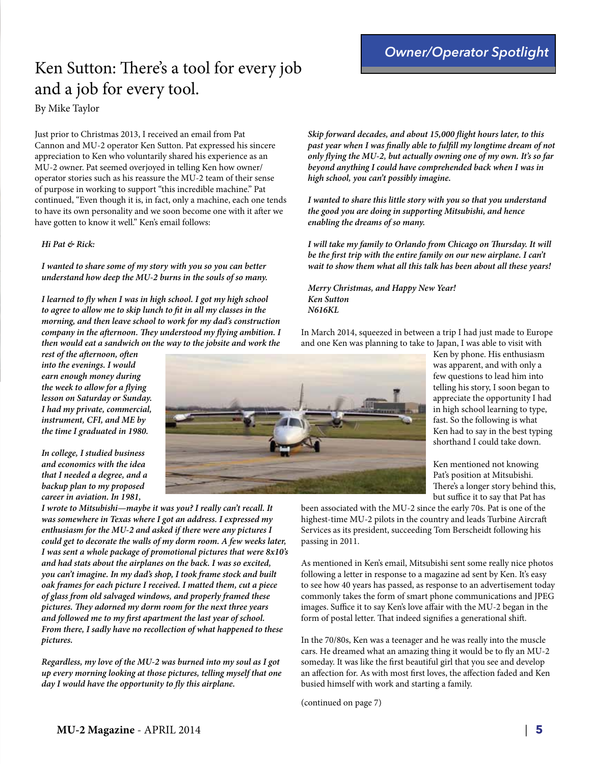#### *Owner/Operator Spotlight*

# Ken Sutton: There's a tool for every job and a job for every tool.

By Mike Taylor

Just prior to Christmas 2013, I received an email from Pat Cannon and MU-2 operator Ken Sutton. Pat expressed his sincere appreciation to Ken who voluntarily shared his experience as an MU-2 owner. Pat seemed overjoyed in telling Ken how owner/ operator stories such as his reassure the MU-2 team of their sense of purpose in working to support "this incredible machine." Pat continued, "Even though it is, in fact, only a machine, each one tends to have its own personality and we soon become one with it afer we have gotten to know it well." Ken's email follows:

#### *Hi Pat & Rick:*

*I wanted to share some of my story with you so you can better understand how deep the MU-2 burns in the souls of so many.*

*I learned to* **f***y when I was in high school. I got my high school to agree to allow me to skip lunch to* **f***t in all my classes in the morning, and then leave school to work for my dad's construction company in the a***f***ernoon.* **T***ey understood my* **f***ying ambition. I then would eat a sandwich on the way to the jobsite and work the* 

*rest of the a***f***ernoon, o***f***en into the evenings. I would earn enough money during the week to allow for a* **f***ying lesson on Saturday or Sunday. I had my private, commercial, instrument, CFI, and ME by the time I graduated in 1980.*

*In college, I studied business and economics with the idea that I needed a degree, and a backup plan to my proposed career in aviation. In 1981,* 

*I wrote to Mitsubishi—maybe it was you? I really can't recall. It was somewhere in Texas where I got an address. I expressed my enthusiasm for the MU-2 and asked if there were any pictures I could get to decorate the walls of my dorm room. A few weeks later, I was sent a whole package of promotional pictures that were 8x10's and had stats about the airplanes on the back. I was so excited, you can't imagine. In my dad's shop, I took frame stock and built oak frames for each picture I received. I matted them, cut a piece of glass from old salvaged windows, and properly framed these pictures.* **T***ey adorned my dorm room for the next three years and followed me to my* **f***rst apartment the last year of school. From there, I sadly have no recollection of what happened to these pictures.*

*Regardless, my love of the MU-2 was burned into my soul as I got up every morning looking at those pictures, telling myself that one day I would have the opportunity to* **f***y this airplane.*

*Skip forward decades, and about 15,000* **f***ight hours later, to this past year when I was* **f***nally able to ful***f***ll my longtime dream of not only* **f***ying the MU-2, but actually owning one of my own. It's so far beyond anything I could have comprehended back when I was in high school, you can't possibly imagine.*

*I wanted to share this little story with you so that you understand the good you are doing in supporting Mitsubishi, and hence enabling the dreams of so many.*

*I will take my family to Orlando from Chicago on* **T***ursday. It will be the* **f***rst trip with the entire family on our new airplane. I can't wait to show them what all this talk has been about all these years!*

*Merry Christmas, and Happy New Year! Ken Sutton N616KL*

In March 2014, squeezed in between a trip I had just made to Europe and one Ken was planning to take to Japan, I was able to visit with



Ken by phone. His enthusiasm was apparent, and with only a few questions to lead him into telling his story, I soon began to appreciate the opportunity I had in high school learning to type, fast. So the following is what Ken had to say in the best typing shorthand I could take down.

Ken mentioned not knowing Pat's position at Mitsubishi. There's a longer story behind this, but suffice it to say that Pat has

been associated with the MU-2 since the early 70s. Pat is one of the highest-time MU-2 pilots in the country and leads Turbine Aircraf Services as its president, succeeding Tom Berscheidt following his passing in 2011.

As mentioned in Ken's email, Mitsubishi sent some really nice photos following a letter in response to a magazine ad sent by Ken. It's easy to see how 40 years has passed, as response to an advertisement today commonly takes the form of smart phone communications and JPEG images. Suffice it to say Ken's love affair with the MU-2 began in the form of postal letter. That indeed signifies a generational shift.

In the 70/80s, Ken was a teenager and he was really into the muscle cars. He dreamed what an amazing thing it would be to fy an MU-2 someday. It was like the frst beautiful girl that you see and develop an afection for. As with most frst loves, the afection faded and Ken busied himself with work and starting a family.

(continued on page 7)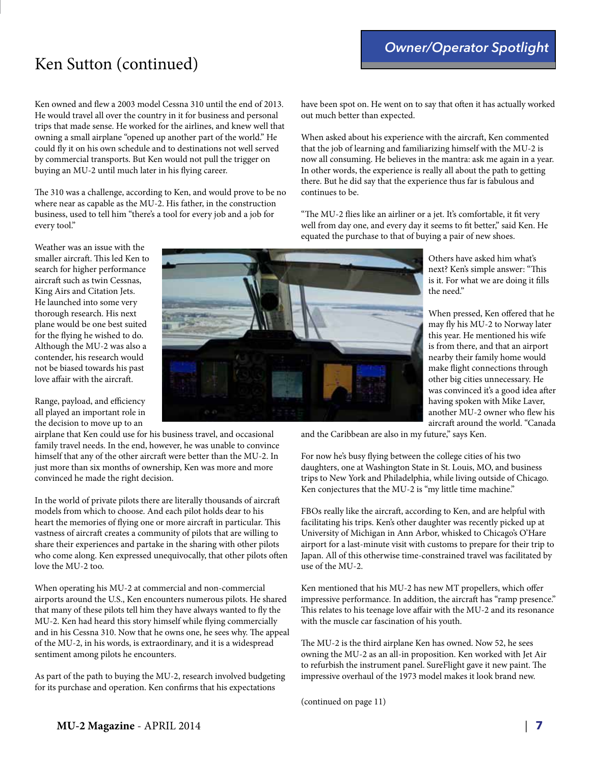# Ken Sutton (continued)

Ken owned and few a 2003 model Cessna 310 until the end of 2013. He would travel all over the country in it for business and personal trips that made sense. He worked for the airlines, and knew well that owning a small airplane "opened up another part of the world." He could fy it on his own schedule and to destinations not well served by commercial transports. But Ken would not pull the trigger on buying an MU-2 until much later in his fying career.

The 310 was a challenge, according to Ken, and would prove to be no where near as capable as the MU-2. His father, in the construction business, used to tell him "there's a tool for every job and a job for every tool."

Weather was an issue with the smaller aircraft. This led Ken to search for higher performance aircraft such as twin Cessnas, King Airs and Citation Jets. He launched into some very thorough research. His next plane would be one best suited for the fying he wished to do. Although the MU-2 was also a contender, his research would not be biased towards his past love affair with the aircraft.

Range, payload, and efficiency all played an important role in the decision to move up to an

airplane that Ken could use for his business travel, and occasional family travel needs. In the end, however, he was unable to convince himself that any of the other aircraft were better than the MU-2. In just more than six months of ownership, Ken was more and more convinced he made the right decision.

In the world of private pilots there are literally thousands of aircraf models from which to choose. And each pilot holds dear to his heart the memories of flying one or more aircraft in particular. This vastness of aircraft creates a community of pilots that are willing to share their experiences and partake in the sharing with other pilots who come along. Ken expressed unequivocally, that other pilots ofen love the MU-2 too.

When operating his MU-2 at commercial and non-commercial airports around the U.S., Ken encounters numerous pilots. He shared that many of these pilots tell him they have always wanted to fy the MU-2. Ken had heard this story himself while fying commercially and in his Cessna 310. Now that he owns one, he sees why. The appeal of the MU-2, in his words, is extraordinary, and it is a widespread sentiment among pilots he encounters.

As part of the path to buying the MU-2, research involved budgeting for its purchase and operation. Ken confrms that his expectations

have been spot on. He went on to say that often it has actually worked out much better than expected.

When asked about his experience with the aircraf, Ken commented that the job of learning and familiarizing himself with the MU-2 is now all consuming. He believes in the mantra: ask me again in a year. In other words, the experience is really all about the path to getting there. But he did say that the experience thus far is fabulous and continues to be.

"The MU-2 flies like an airliner or a jet. It's comfortable, it fit very well from day one, and every day it seems to fit better," said Ken. He equated the purchase to that of buying a pair of new shoes.

> Others have asked him what's next? Ken's simple answer: "This is it. For what we are doing it flls the need."

When pressed, Ken offered that he may fy his MU-2 to Norway later this year. He mentioned his wife is from there, and that an airport nearby their family home would make fight connections through other big cities unnecessary. He was convinced it's a good idea afer having spoken with Mike Laver, another MU-2 owner who few his aircraft around the world. "Canada

and the Caribbean are also in my future," says Ken.

For now he's busy fying between the college cities of his two daughters, one at Washington State in St. Louis, MO, and business trips to New York and Philadelphia, while living outside of Chicago. Ken conjectures that the MU-2 is "my little time machine."

FBOs really like the aircraf, according to Ken, and are helpful with facilitating his trips. Ken's other daughter was recently picked up at University of Michigan in Ann Arbor, whisked to Chicago's O'Hare airport for a last-minute visit with customs to prepare for their trip to Japan. All of this otherwise time-constrained travel was facilitated by use of the MU-2.

Ken mentioned that his MU-2 has new MT propellers, which offer impressive performance. In addition, the aircraft has "ramp presence." This relates to his teenage love affair with the MU-2 and its resonance with the muscle car fascination of his youth.

The MU-2 is the third airplane Ken has owned. Now 52, he sees owning the MU-2 as an all-in proposition. Ken worked with Jet Air to refurbish the instrument panel. SureFlight gave it new paint. The impressive overhaul of the 1973 model makes it look brand new.

(continued on page 11)